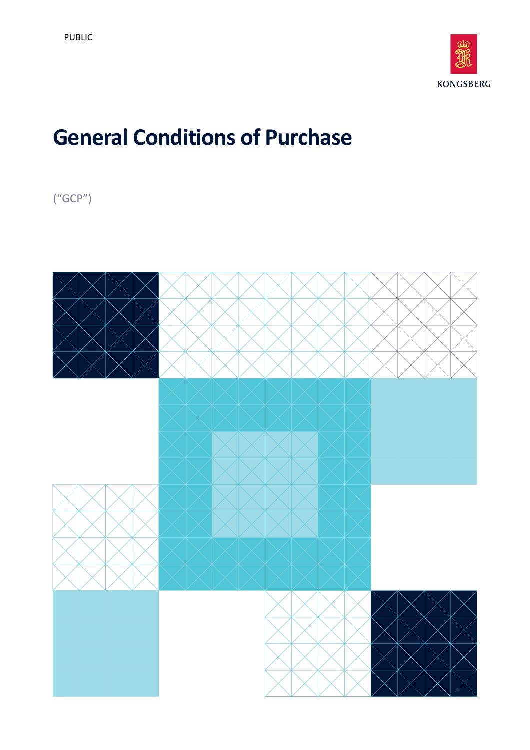

# **General Conditions of Purchase**

("GCP")

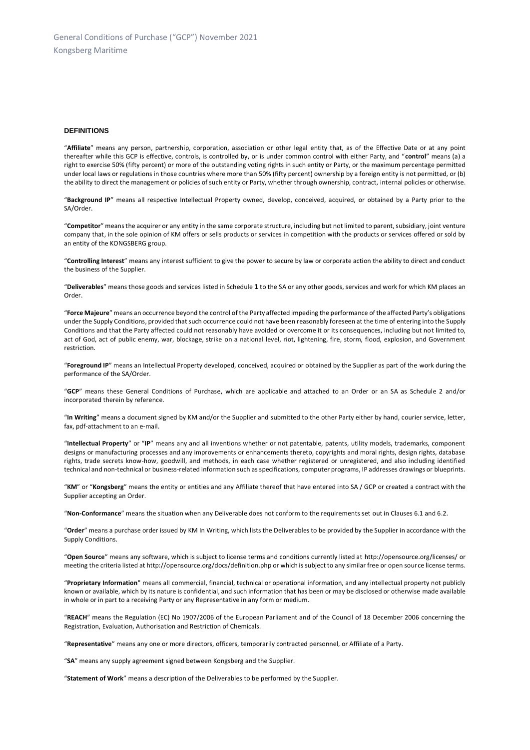#### **DEFINITIONS**

"**Affiliate**" means any person, partnership, corporation, association or other legal entity that, as of the Effective Date or at any point thereafter while this GCP is effective, controls, is controlled by, or is under common control with either Party, and "**control**" means (a) a right to exercise 50% (fifty percent) or more of the outstanding voting rights in such entity or Party, or the maximum percentage permitted under local laws or regulations in those countries where more than 50% (fifty percent) ownership by a foreign entity is not permitted, or (b) the ability to direct the management or policies of such entity or Party, whether through ownership, contract, internal policies or otherwise.

"**Background IP**" means all respective Intellectual Property owned, develop, conceived, acquired, or obtained by a Party prior to the SA/Order.

"**Competitor**" means the acquirer or any entity in the same corporate structure, including but not limited to parent, subsidiary, joint venture company that, in the sole opinion of KM offers or sells products or services in competition with the products or services offered or sold by an entity of the KONGSBERG group.

"**Controlling Interest**" means any interest sufficient to give the power to secure by law or corporate action the ability to direct and conduct the business of the Supplier.

"**Deliverables**" means those goods and services listed in Schedule **1** to the SA or any other goods, services and work for which KM places an Order.

"**Force Majeure**" means an occurrence beyond the control of the Party affected impeding the performance of the affected Party's obligations under the Supply Conditions, provided that such occurrence could not have been reasonably foreseen at the time of entering into the Supply Conditions and that the Party affected could not reasonably have avoided or overcome it or its consequences, including but not limited to, act of God, act of public enemy, war, blockage, strike on a national level, riot, lightening, fire, storm, flood, explosion, and Government restriction.

"**Foreground IP**" means an Intellectual Property developed, conceived, acquired or obtained by the Supplier as part of the work during the performance of the SA/Order.

"**GCP**" means these General Conditions of Purchase, which are applicable and attached to an Order or an SA as Schedule 2 and/or incorporated therein by reference.

"**In Writing**" means a document signed by KM and/or the Supplier and submitted to the other Party either by hand, courier service, letter, fax, pdf-attachment to an e-mail.

"**Intellectual Property**" or "**IP**" means any and all inventions whether or not patentable, patents, utility models, trademarks, component designs or manufacturing processes and any improvements or enhancements thereto, copyrights and moral rights, design rights, database rights, trade secrets know-how, goodwill, and methods, in each case whether registered or unregistered, and also including identified technical and non-technical or business-related information such as specifications, computer programs, IP addresses drawings or blueprints.

"**KM**" or "**Kongsberg**" means the entity or entities and any Affiliate thereof that have entered into SA / GCP or created a contract with the Supplier accepting an Order.

"**Non-Conformance**" means the situation when any Deliverable does not conform to the requirements set out in Clauses 6.1 and 6.2.

"**Order**" means a purchase order issued by KM In Writing, which lists the Deliverables to be provided by the Supplier in accordance with the Supply Conditions.

"**Open Source**" means any software, which is subject to license terms and conditions currently listed at http://opensource.org/licenses/ or meeting the criteria listed at http://opensource.org/docs/definition.php or which is subject to any similar free or open source license terms.

"**Proprietary Information**" means all commercial, financial, technical or operational information, and any intellectual property not publicly known or available, which by its nature is confidential, and such information that has been or may be disclosed or otherwise made available in whole or in part to a receiving Party or any Representative in any form or medium.

"**REACH**" means the Regulation (EC) No 1907/2006 of the European Parliament and of the Council of 18 December 2006 concerning the Registration, Evaluation, Authorisation and Restriction of Chemicals.

"**Representative**" means any one or more directors, officers, temporarily contracted personnel, or Affiliate of a Party.

"**SA**" means any supply agreement signed between Kongsberg and the Supplier.

"**Statement of Work**" means a description of the Deliverables to be performed by the Supplier.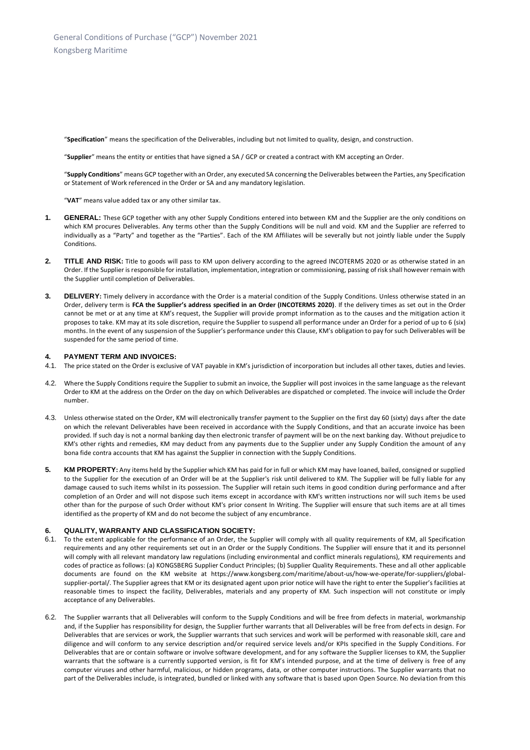"**Specification**" means the specification of the Deliverables, including but not limited to quality, design, and construction.

"**Supplier**" means the entity or entities that have signed a SA / GCP or created a contract with KM accepting an Order.

"**Supply Conditions**" means GCP together with an Order, any executed SA concerning the Deliverables between the Parties, any Specification or Statement of Work referenced in the Order or SA and any mandatory legislation.

"**VAT**" means value added tax or any other similar tax.

- **1. GENERAL:** These GCP together with any other Supply Conditions entered into between KM and the Supplier are the only conditions on which KM procures Deliverables. Any terms other than the Supply Conditions will be null and void. KM and the Supplier are referred to individually as a "Party" and together as the "Parties". Each of the KM Affiliates will be severally but not jointly liable under the Supply Conditions.
- 2. TITLE AND RISK: Title to goods will pass to KM upon delivery according to the agreed INCOTERMS 2020 or as otherwise stated in an Order. If the Supplier is responsible for installation, implementation, integration or commissioning, passing of risk shall however remain with the Supplier until completion of Deliverables.
- **3. DELIVERY:** Timely delivery in accordance with the Order is a material condition of the Supply Conditions. Unless otherwise stated in an Order, delivery term is **FCA the Supplier's address specified in an Order (INCOTERMS 2020)**. If the delivery times as set out in the Order cannot be met or at any time at KM's request, the Supplier will provide prompt information as to the causes and the mitigation action it proposes to take. KM may at its sole discretion, require the Supplier to suspend all performance under an Order for a period of up to 6 (six) months. In the event of any suspension of the Supplier's performance under this Clause, KM's obligation to pay for such Deliverables will be suspended for the same period of time.

## **4. PAYMENT TERM AND INVOICES:**

- 4.1. The price stated on the Order is exclusive of VAT payable in KM's jurisdiction of incorporation but includes all other taxes, duties and levies.
- 4.2. Where the Supply Conditions require the Supplier to submit an invoice, the Supplier will post invoices in the same language as the relevant Order to KM at the address on the Order on the day on which Deliverables are dispatched or completed. The invoice will include the Order number.
- 4.3. Unless otherwise stated on the Order, KM will electronically transfer payment to the Supplier on the first day 60 (sixty) days after the date on which the relevant Deliverables have been received in accordance with the Supply Conditions, and that an accurate invoice has been provided. If such day is not a normal banking day then electronic transfer of payment will be on the next banking day. Without prejudice to KM's other rights and remedies, KM may deduct from any payments due to the Supplier under any Supply Condition the amount of any bona fide contra accounts that KM has against the Supplier in connection with the Supply Conditions.
- **5. KM PROPERTY:** Any items held by the Supplier which KM has paid for in full or which KM may have loaned, bailed, consigned or supplied to the Supplier for the execution of an Order will be at the Supplier's risk until delivered to KM. The Supplier will be fully liable for any damage caused to such items whilst in its possession. The Supplier will retain such items in good condition during performance and after completion of an Order and will not dispose such items except in accordance with KM's written instructions nor will such items be used other than for the purpose of such Order without KM's prior consent In Writing. The Supplier will ensure that such items are at all times identified as the property of KM and do not become the subject of any encumbrance.

## **6. QUALITY, WARRANTY AND CLASSIFICATION SOCIETY:**

- 6.1. To the extent applicable for the performance of an Order, the Supplier will comply with all quality requirements of KM, all Specification requirements and any other requirements set out in an Order or the Supply Conditions. The Supplier will ensure that it and its personnel will comply with all relevant mandatory law regulations (including environmental and conflict minerals regulations), KM requirements and codes of practice as follows: (a) KONGSBERG Supplier Conduct Principles; (b) Supplier Quality Requirements. These and all other applicable documents are found on the KM website at [https://www.kongsberg.com/maritime/about-us/how-we-operate/for-suppliers/global](https://www.kongsberg.com/maritime/about-us/how-we-operate/for-suppliers/global-supplier-portal/)[supplier-portal/.](https://www.kongsberg.com/maritime/about-us/how-we-operate/for-suppliers/global-supplier-portal/) The Supplier agrees that KM or its designated agent upon prior notice will have the right to enter the Supplier's facilities at reasonable times to inspect the facility, Deliverables, materials and any property of KM. Such inspection will not constitute or imply acceptance of any Deliverables.
- <span id="page-2-0"></span>6.2. The Supplier warrants that all Deliverables will conform to the Supply Conditions and will be free from defects in material, workmanship and, if the Supplier has responsibility for design, the Supplier further warrants that all Deliverables will be free from def ects in design. For Deliverables that are services or work, the Supplier warrants that such services and work will be performed with reasonable skill, care and diligence and will conform to any service description and/or required service levels and/or KPIs specified in the Supply Conditions. For Deliverables that are or contain software or involve software development, and for any software the Supplier licenses to KM, the Supplier warrants that the software is a currently supported version, is fit for KM's intended purpose, and at the time of delivery is free of any computer viruses and other harmful, malicious, or hidden programs, data, or other computer instructions. The Supplier warrants that no part of the Deliverables include, is integrated, bundled or linked with any software that is based upon Open Source. No deviation from this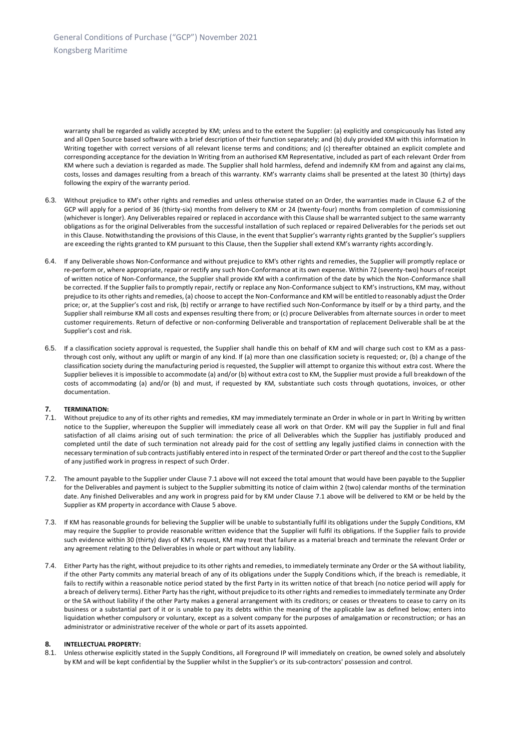warranty shall be regarded as validly accepted by KM; unless and to the extent the Supplier: (a) explicitly and conspicuously has listed any and all Open Source based software with a brief description of their function separately; and (b) duly provided KM with this information In Writing together with correct versions of all relevant license terms and conditions; and (c) thereafter obtained an explicit complete and corresponding acceptance for the deviation In Writing from an authorised KM Representative, included as part of each relevant Order from KM where such a deviation is regarded as made. The Supplier shall hold harmless, defend and indemnify KM from and against any claims, costs, losses and damages resulting from a breach of this warranty. KM's warranty claims shall be presented at the latest 30 (thirty) days following the expiry of the warranty period.

- 6.3. Without prejudice to KM's other rights and remedies and unless otherwise stated on an Order, the warranties made in Clause [6.2](#page-2-0) of the GCP will apply for a period of 36 (thirty-six) months from delivery to KM or 24 (twenty-four) months from completion of commissioning (whichever is longer). Any Deliverables repaired or replaced in accordance with this Clause shall be warranted subject to the same warranty obligations as for the original Deliverables from the successful installation of such replaced or repaired Deliverables for the periods set out in this Clause. Notwithstanding the provisions of this Clause, in the event that Supplier's warranty rights granted by the Supplier's suppliers are exceeding the rights granted to KM pursuant to this Clause, then the Supplier shall extend KM's warranty rights accordingly.
- 6.4. If any Deliverable shows Non-Conformance and without prejudice to KM's other rights and remedies, the Supplier will promptly replace or re-perform or, where appropriate, repair or rectify any such Non-Conformance at its own expense. Within 72 (seventy-two) hours of receipt of written notice of Non-Conformance, the Supplier shall provide KM with a confirmation of the date by which the Non-Conformance shall be corrected. If the Supplier fails to promptly repair, rectify or replace any Non-Conformance subject to KM's instructions, KM may, without prejudice to its other rights and remedies, (a) choose to accept the Non-Conformance and KM will be entitled to reasonably adjust the Order price; or, at the Supplier's cost and risk, (b) rectify or arrange to have rectified such Non-Conformance by itself or by a third party, and the Supplier shall reimburse KM all costs and expenses resulting there from; or (c) procure Deliverables from alternate sources in order to meet customer requirements. Return of defective or non-conforming Deliverable and transportation of replacement Deliverable shall be at the Supplier's cost and risk.
- 6.5. If a classification society approval is requested, the Supplier shall handle this on behalf of KM and will charge such cost to KM as a passthrough cost only, without any uplift or margin of any kind. If (a) more than one classification society is requested; or, (b) a change of the classification society during the manufacturing period is requested, the Supplier will attempt to organize this without extra cost. Where the Supplier believes it is impossible to accommodate (a) and/or (b) without extra cost to KM, the Supplier must provide a full breakdown of the costs of accommodating (a) and/or (b) and must, if requested by KM, substantiate such costs through quotations, invoices, or other documentation.

## **7. TERMINATION:**

- 7.1. Without prejudice to any of its other rights and remedies, KM may immediately terminate an Order in whole or in part In Writing by written notice to the Supplier, whereupon the Supplier will immediately cease all work on that Order. KM will pay the Supplier in full and final satisfaction of all claims arising out of such termination: the price of all Deliverables which the Supplier has justifiably produced and completed until the date of such termination not already paid for the cost of settling any legally justified claims in connection with the necessary termination of sub contracts justifiably entered into in respect of the terminated Order or part thereof and the cost to the Supplier of any justified work in progress in respect of such Order.
- 7.2. The amount payable to the Supplier under Clause 7.1 above will not exceed the total amount that would have been payable to the Supplier for the Deliverables and payment is subject to the Supplier submitting its notice of claim within 2 (two) calendar months of the termination date. Any finished Deliverables and any work in progress paid for by KM under Clause 7.1 above will be delivered to KM or be held by the Supplier as KM property in accordance with Clause 5 above.
- 7.3. If KM has reasonable grounds for believing the Supplier will be unable to substantially fulfil its obligations under the Supply Conditions, KM may require the Supplier to provide reasonable written evidence that the Supplier will fulfil its obligations. If the Supplier fails to provide such evidence within 30 (thirty) days of KM's request, KM may treat that failure as a material breach and terminate the relevant Order or any agreement relating to the Deliverables in whole or part without any liability.
- 7.4. Either Party has the right, without prejudice to its other rights and remedies, to immediately terminate any Order or the SA without liability, if the other Party commits any material breach of any of its obligations under the Supply Conditions which, if the breach is remediable, it fails to rectify within a reasonable notice period stated by the first Party in its written notice of that breach (no notice period will apply for a breach of delivery terms). Either Party has the right, without prejudice to its other rights and remedies to immediately terminate any Order or the SA without liability if the other Party makes a general arrangement with its creditors; or ceases or threatens to cease to carry on its business or a substantial part of it or is unable to pay its debts within the meaning of the applicable law as defined below; enters into liquidation whether compulsory or voluntary, except as a solvent company for the purposes of amalgamation or reconstruction; or has an administrator or administrative receiver of the whole or part of its assets appointed.

#### **8. INTELLECTUAL PROPERTY:**

<span id="page-3-0"></span>8.1. Unless otherwise explicitly stated in the Supply Conditions, all Foreground IP will immediately on creation, be owned solely and absolutely by KM and will be kept confidential by the Supplier whilst in the Supplier's or its sub-contractors' possession and control.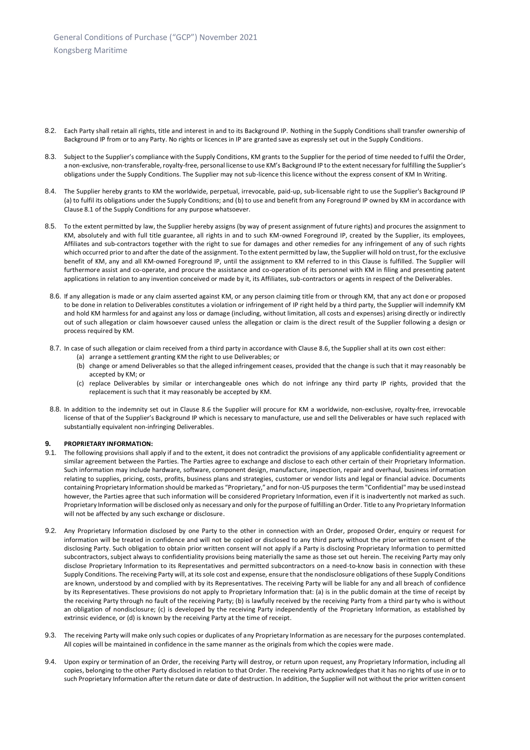- 8.2. Each Party shall retain all rights, title and interest in and to its Background IP. Nothing in the Supply Conditions shall transfer ownership of Background IP from or to any Party. No rights or licences in IP are granted save as expressly set out in the Supply Conditions.
- 8.3. Subject to the Supplier's compliance with the Supply Conditions, KM grants to the Supplier for the period of time needed to fulfil the Order, a non-exclusive, non-transferable, royalty-free, personal license to use KM's Background IP to the extent necessary for fulfilling the Supplier's obligations under the Supply Conditions. The Supplier may not sub-licence this licence without the express consent of KM In Writing.
- 8.4. The Supplier hereby grants to KM the worldwide, perpetual, irrevocable, paid-up, sub-licensable right to use the Supplier's Background IP (a) to fulfil its obligations under the Supply Conditions; and (b) to use and benefit from any Foreground IP owned by KM in accordance with Claus[e 8.1](#page-3-0) of the Supply Conditions for any purpose whatsoever.
- 8.5. To the extent permitted by law, the Supplier hereby assigns (by way of present assignment of future rights) and procures the assignment to KM, absolutely and with full title guarantee, all rights in and to such KM-owned Foreground IP, created by the Supplier, its employees, Affiliates and sub-contractors together with the right to sue for damages and other remedies for any infringement of any of such rights which occurred prior to and after the date of the assignment. To the extent permitted by law, the Supplier will hold on trust, for the exclusive benefit of KM, any and all KM-owned Foreground IP, until the assignment to KM referred to in this Clause is fulfilled. The Supplier will furthermore assist and co-operate, and procure the assistance and co-operation of its personnel with KM in filing and presenting patent applications in relation to any invention conceived or made by it, its Affiliates, sub-contractors or agents in respect of the Deliverables.
- <span id="page-4-0"></span>8.6. If any allegation is made or any claim asserted against KM, or any person claiming title from or through KM, that any act done or proposed to be done in relation to Deliverables constitutes a violation or infringement of IP right held by a third party, the Supplier will indemnify KM and hold KM harmless for and against any loss or damage (including, without limitation, all costs and expenses) arising directly or indirectly out of such allegation or claim howsoever caused unless the allegation or claim is the direct result of the Supplier following a design or process required by KM.
- 8.7. In case of such allegation or claim received from a third party in accordance with Claus[e 8.6,](#page-4-0) the Supplier shall at its own cost either:
	- (a) arrange a settlement granting KM the right to use Deliverables; or
	- (b) change or amend Deliverables so that the alleged infringement ceases, provided that the change is such that it may reasonably be accepted by KM; or
	- (c) replace Deliverables by similar or interchangeable ones which do not infringe any third party IP rights, provided that the replacement is such that it may reasonably be accepted by KM.
- 8.8. In addition to the indemnity set out in Clause [8.6](#page-4-0) the Supplier will procure for KM a worldwide, non-exclusive, royalty-free, irrevocable license of that of the Supplier's Background IP which is necessary to manufacture, use and sell the Deliverables or have such replaced with substantially equivalent non-infringing Deliverables.

## **9. PROPRIETARY INFORMATION:**

- 9.1. The following provisions shall apply if and to the extent, it does not contradict the provisions of any applicable confidentiality agreement or similar agreement between the Parties. The Parties agree to exchange and disclose to each other certain of their Proprietary Information. Such information may include hardware, software, component design, manufacture, inspection, repair and overhaul, business information relating to supplies, pricing, costs, profits, business plans and strategies, customer or vendor lists and legal or financial advice. Documents containing Proprietary Information should be marked as "Proprietary," and for non-US purposes the term "Confidential" may be used instead however, the Parties agree that such information will be considered Proprietary Information, even if it is inadvertently not marked as such. Proprietary Information will be disclosed only as necessary and only for the purpose of fulfilling an Order. Title to any Proprietary Information will not be affected by any such exchange or disclosure.
- 9.2. Any Proprietary Information disclosed by one Party to the other in connection with an Order, proposed Order, enquiry or request for information will be treated in confidence and will not be copied or disclosed to any third party without the prior written consent of the disclosing Party. Such obligation to obtain prior written consent will not apply if a Party is disclosing Proprietary Information to permitted subcontractors, subject always to confidentiality provisions being materially the same as those set out herein. The receiving Party may only disclose Proprietary Information to its Representatives and permitted subcontractors on a need-to-know basis in connection with these Supply Conditions. The receiving Party will, at its sole cost and expense, ensure that the nondisclosure obligations of these Supply Conditions are known, understood by and complied with by its Representatives. The receiving Party will be liable for any and all breach of confidence by its Representatives. These provisions do not apply to Proprietary Information that: (a) is in the public domain at the time of receipt by the receiving Party through no fault of the receiving Party; (b) is lawfully received by the receiving Party from a third party who is without an obligation of nondisclosure; (c) is developed by the receiving Party independently of the Proprietary Information, as established by extrinsic evidence, or (d) is known by the receiving Party at the time of receipt.
- 9.3. The receiving Party will make only such copies or duplicates of any Proprietary Information as are necessary for the purposes contemplated. All copies will be maintained in confidence in the same manner as the originals from which the copies were made.
- 9.4. Upon expiry or termination of an Order, the receiving Party will destroy, or return upon request, any Proprietary Information, including all copies, belonging to the other Party disclosed in relation to that Order. The receiving Party acknowledges that it has no rights of use in or to such Proprietary Information after the return date or date of destruction. In addition, the Supplier will not without the prior written consent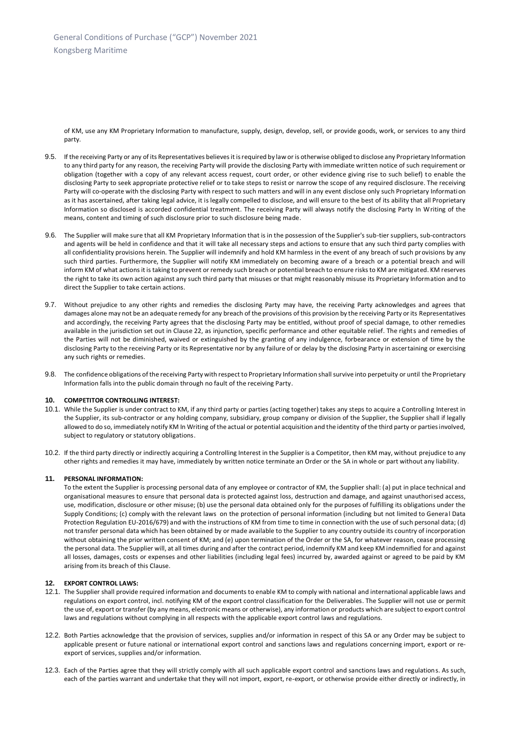of KM, use any KM Proprietary Information to manufacture, supply, design, develop, sell, or provide goods, work, or services to any third party.

- 9.5. If the receiving Party or any of its Representatives believes it is required by law or is otherwise obliged to disclose any Proprietary Information to any third party for any reason, the receiving Party will provide the disclosing Party with immediate written notice of such requirement or obligation (together with a copy of any relevant access request, court order, or other evidence giving rise to such belief) to enable the disclosing Party to seek appropriate protective relief or to take steps to resist or narrow the scope of any required disclosure. The receiving Party will co-operate with the disclosing Party with respect to such matters and will in any event disclose only such Proprietary Information as it has ascertained, after taking legal advice, it is legally compelled to disclose, and will ensure to the best of its ability that all Proprietary Information so disclosed is accorded confidential treatment. The receiving Party will always notify the disclosing Party In Writing of the means, content and timing of such disclosure prior to such disclosure being made.
- 9.6. The Supplier will make sure that all KM Proprietary Information that is in the possession of the Supplier's sub-tier suppliers, sub-contractors and agents will be held in confidence and that it will take all necessary steps and actions to ensure that any such third party complies with all confidentiality provisions herein. The Supplier will indemnify and hold KM harmless in the event of any breach of such provisions by any such third parties. Furthermore, the Supplier will notify KM immediately on becoming aware of a breach or a potential breach and will inform KM of what actions it is taking to prevent or remedy such breach or potential breach to ensure risks to KM are mitigated. KM reserves the right to take its own action against any such third party that misuses or that might reasonably misuse its Proprietary Information and to direct the Supplier to take certain actions.
- 9.7. Without prejudice to any other rights and remedies the disclosing Party may have, the receiving Party acknowledges and agrees that damages alone may not be an adequate remedy for any breach of the provisions of this provision by the receiving Party or its Representatives and accordingly, the receiving Party agrees that the disclosing Party may be entitled, without proof of special damage, to other remedies available in the jurisdiction set out in Clause 22, as injunction, specific performance and other equitable relief. The rights and remedies of the Parties will not be diminished, waived or extinguished by the granting of any indulgence, forbearance or extension of time by the disclosing Party to the receiving Party or its Representative nor by any failure of or delay by the disclosing Party in ascertaining or exercising any such rights or remedies.
- 9.8. The confidence obligations of the receiving Party with respect to Proprietary Information shall survive into perpetuity or until the Proprietary Information falls into the public domain through no fault of the receiving Party.

## **10. COMPETITOR CONTROLLING INTEREST:**

- 10.1. While the Supplier is under contract to KM, if any third party or parties (acting together) takes any steps to acquire a Controlling Interest in the Supplier, its sub-contractor or any holding company, subsidiary, group company or division of the Supplier, the Supplier shall if legally allowed to do so, immediately notify KM In Writing of the actual or potential acquisition and the identity of the third party or parties involved, subject to regulatory or statutory obligations.
- 10.2. If the third party directly or indirectly acquiring a Controlling Interest in the Supplier is a Competitor, then KM may, without prejudice to any other rights and remedies it may have, immediately by written notice terminate an Order or the SA in whole or part without any liability.

#### **11. PERSONAL INFORMATION:**

<span id="page-5-0"></span>To the extent the Supplier is processing personal data of any employee or contractor of KM, the Supplier shall: (a) put in place technical and organisational measures to ensure that personal data is protected against loss, destruction and damage, and against unauthorised access, use, modification, disclosure or other misuse; (b) use the personal data obtained only for the purposes of fulfilling its obligations under the Supply Conditions; (c) comply with the relevant laws on the protection of personal information (including but not limited to General Data Protection Regulation EU-2016/679) and with the instructions of KM from time to time in connection with the use of such personal data; (d) not transfer personal data which has been obtained by or made available to the Supplier to any country outside its country of incorporation without obtaining the prior written consent of KM; and (e) upon termination of the Order or the SA, for whatever reason, cease processing the personal data. The Supplier will, at all times during and after the contract period, indemnify KM and keep KM indemnified for and against all losses, damages, costs or expenses and other liabilities (including legal fees) incurred by, awarded against or agreed to be paid by KM arising from its breach of this Clause.

## <span id="page-5-1"></span>**12. EXPORT CONTROL LAWS:**

- 12.1. The Supplier shall provide required information and documents to enable KM to comply with national and international applicable laws and regulations on export control, incl. notifying KM of the export control classification for the Deliverables. The Supplier will not use or permit the use of, export or transfer (by any means, electronic means or otherwise), any information or products which are subject to export control laws and regulations without complying in all respects with the applicable export control laws and regulations.
- 12.2. Both Parties acknowledge that the provision of services, supplies and/or information in respect of this SA or any Order may be subject to applicable present or future national or international export control and sanctions laws and regulations concerning import, export or reexport of services, supplies and/or information.
- 12.3. Each of the Parties agree that they will strictly comply with all such applicable export control and sanctions laws and regulations. As such, each of the parties warrant and undertake that they will not import, export, re-export, or otherwise provide either directly or indirectly, in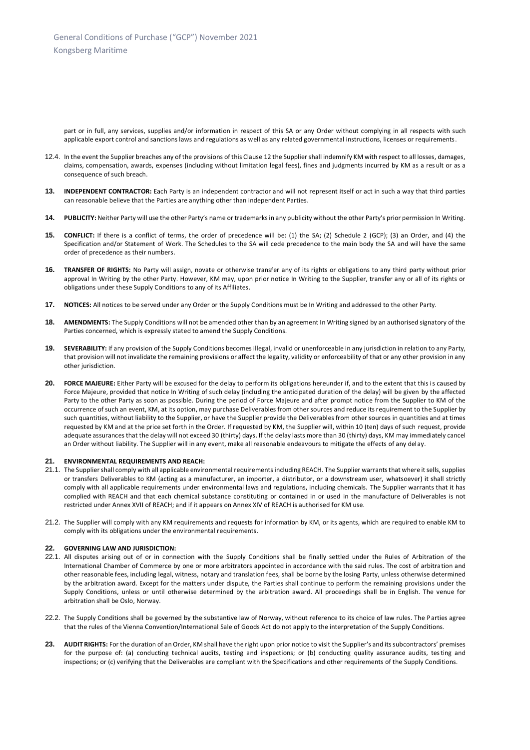part or in full, any services, supplies and/or information in respect of this SA or any Order without complying in all respects with such applicable export control and sanctions laws and regulations as well as any related governmental instructions, licenses or requirements.

- 12.4. In the event the Supplier breaches any of the provisions of this Clause 12 the Supplier shall indemnify KM with respect to all losses, damages, claims, compensation, awards, expenses (including without limitation legal fees), fines and judgments incurred by KM as a res ult or as a consequence of such breach.
- **13. INDEPENDENT CONTRACTOR:** Each Party is an independent contractor and will not represent itself or act in such a way that third parties can reasonable believe that the Parties are anything other than independent Parties.
- <span id="page-6-0"></span>**14. PUBLICITY:** Neither Party will use the other Party's name or trademarks in any publicity without the other Party's prior permission In Writing.
- **15. CONFLICT:** If there is a conflict of terms, the order of precedence will be: (1) the SA; (2) Schedule 2 (GCP); (3) an Order, and (4) the Specification and/or Statement of Work. The Schedules to the SA will cede precedence to the main body the SA and will have the same order of precedence as their numbers.
- **16. TRANSFER OF RIGHTS:** No Party will assign, novate or otherwise transfer any of its rights or obligations to any third party without prior approval In Writing by the other Party. However, KM may, upon prior notice In Writing to the Supplier, transfer any or all of its rights or obligations under these Supply Conditions to any of its Affiliates.
- **17. NOTICES:** All notices to be served under any Order or the Supply Conditions must be In Writing and addressed to the other Party.
- **18. AMENDMENTS:** The Supply Conditions will not be amended other than by an agreement In Writing signed by an authorised signatory of the Parties concerned, which is expressly stated to amend the Supply Conditions.
- **19. SEVERABILITY:** If any provision of the Supply Conditions becomes illegal, invalid or unenforceable in any jurisdiction in relation to any Party, that provision will not invalidate the remaining provisions or affect the legality, validity or enforceability of that or any other provision in any other jurisdiction.
- **20. FORCE MAJEURE:** Either Party will be excused for the delay to perform its obligations hereunder if, and to the extent that this is caused by Force Majeure, provided that notice In Writing of such delay (including the anticipated duration of the delay) will be given by the affected Party to the other Party as soon as possible. During the period of Force Majeure and after prompt notice from the Supplier to KM of the occurrence of such an event, KM, at its option, may purchase Deliverables from other sources and reduce its requirement to the Supplier by such quantities, without liability to the Supplier, or have the Supplier provide the Deliverables from other sources in quantities and at times requested by KM and at the price set forth in the Order. If requested by KM, the Supplier will, within 10 (ten) days of such request, provide adequate assurances that the delay will not exceed 30 (thirty) days. If the delay lasts more than 30 (thirty) days, KM may immediately cancel an Order without liability. The Supplier will in any event, make all reasonable endeavours to mitigate the effects of any delay.

## **21. ENVIRONMENTAL REQUIREMENTS AND REACH:**

- 21.1. The Suppliershall comply with all applicable environmental requirementsincluding REACH. The Supplier warrants that where it sells, supplies or transfers Deliverables to KM (acting as a manufacturer, an importer, a distributor, or a downstream user, whatsoever) it shall strictly comply with all applicable requirements under environmental laws and regulations, including chemicals. The Supplier warrants that it has complied with REACH and that each chemical substance constituting or contained in or used in the manufacture of Deliverables is not restricted under Annex XVII of REACH; and if it appears on Annex XIV of REACH is authorised for KM use.
- 21.2. The Supplier will comply with any KM requirements and requests for information by KM, or its agents, which are required to enable KM to comply with its obligations under the environmental requirements.

#### **22. GOVERNING LAW AND JURISDICTION:**

- 22.1. All disputes arising out of or in connection with the Supply Conditions shall be finally settled under the Rules of Arbitration of the International Chamber of Commerce by one or more arbitrators appointed in accordance with the said rules. The cost of arbitration and other reasonable fees, including legal, witness, notary and translation fees, shall be borne by the losing Party, unless otherwise determined by the arbitration award. Except for the matters under dispute, the Parties shall continue to perform the remaining provisions under the Supply Conditions, unless or until otherwise determined by the arbitration award. All proceedings shall be in English. The venue for arbitration shall be Oslo, Norway.
- 22.2. The Supply Conditions shall be governed by the substantive law of Norway, without reference to its choice of law rules. The Parties agree that the rules of the Vienna Convention/International Sale of Goods Act do not apply to the interpretation of the Supply Conditions.
- **23. AUDIT RIGHTS:** For the duration of an Order, KM shall have the right upon prior notice to visit the Supplier's and its subcontractors' premises for the purpose of: (a) conducting technical audits, testing and inspections; or (b) conducting quality assurance audits, testing and inspections; or (c) verifying that the Deliverables are compliant with the Specifications and other requirements of the Supply Conditions.